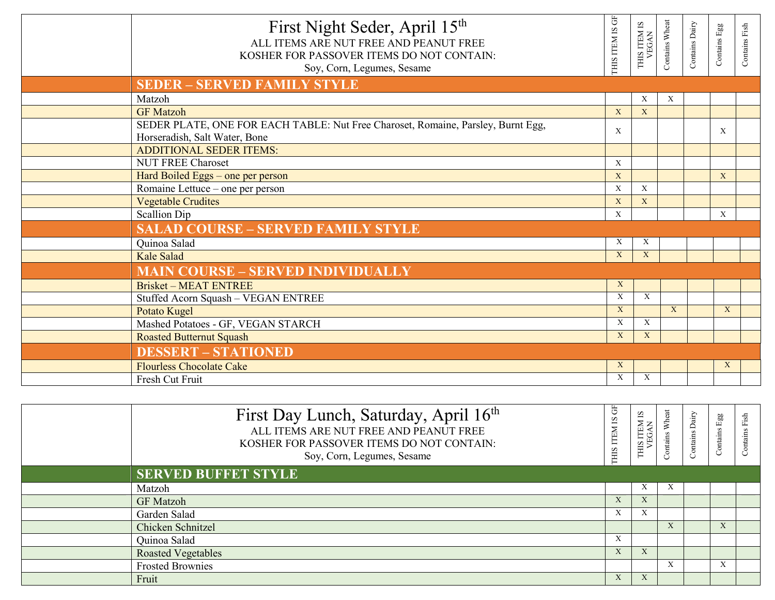| First Night Seder, April 15th<br>ALL ITEMS ARE NUT FREE AND PEANUT FREE<br>KOSHER FOR PASSOVER ITEMS DO NOT CONTAIN:<br>Soy, Corn, Legumes, Sesame | $\overleftarrow{G}$<br><b>CHIS ITEM IS</b> | THIS ITEM IS<br>VEGAN | Contains Wheat | Contains Dairy | Contains Egg | Contains Fish |
|----------------------------------------------------------------------------------------------------------------------------------------------------|--------------------------------------------|-----------------------|----------------|----------------|--------------|---------------|
| <b>SEDER - SERVED FAMILY STYLE</b>                                                                                                                 |                                            |                       |                |                |              |               |
| Matzoh                                                                                                                                             |                                            | X                     | X              |                |              |               |
| <b>GF</b> Matzoh                                                                                                                                   | X                                          | X                     |                |                |              |               |
| SEDER PLATE, ONE FOR EACH TABLE: Nut Free Charoset, Romaine, Parsley, Burnt Egg,<br>Horseradish, Salt Water, Bone                                  | X                                          |                       |                |                | X            |               |
| <b>ADDITIONAL SEDER ITEMS:</b>                                                                                                                     |                                            |                       |                |                |              |               |
| <b>NUT FREE Charoset</b>                                                                                                                           | $\mathbf X$                                |                       |                |                |              |               |
| Hard Boiled Eggs - one per person                                                                                                                  | X                                          |                       |                |                | X            |               |
| Romaine Lettuce - one per person                                                                                                                   | $\mathbf X$                                | $\mathbf{x}$          |                |                |              |               |
| <b>Vegetable Crudites</b>                                                                                                                          | X                                          | X                     |                |                |              |               |
| Scallion Dip                                                                                                                                       | X                                          |                       |                |                | $\mathbf{x}$ |               |
| <b>SALAD COURSE - SERVED FAMILY STYLE</b>                                                                                                          |                                            |                       |                |                |              |               |
| Quinoa Salad                                                                                                                                       | X                                          | X                     |                |                |              |               |
| Kale Salad                                                                                                                                         | X                                          | X                     |                |                |              |               |
| <b>MAIN COURSE - SERVED INDIVIDUALLY</b>                                                                                                           |                                            |                       |                |                |              |               |
| <b>Brisket - MEAT ENTREE</b>                                                                                                                       | X                                          |                       |                |                |              |               |
| Stuffed Acorn Squash - VEGAN ENTREE                                                                                                                | $\mathbf X$                                | X                     |                |                |              |               |
| Potato Kugel                                                                                                                                       | X                                          |                       | $\mathbf{X}$   |                | X            |               |
| Mashed Potatoes - GF, VEGAN STARCH                                                                                                                 | $\mathbf X$                                | $\mathbf{X}$          |                |                |              |               |
| <b>Roasted Butternut Squash</b>                                                                                                                    | X                                          | X                     |                |                |              |               |
| <b>DESSERT - STATIONED</b>                                                                                                                         |                                            |                       |                |                |              |               |
| <b>Flourless Chocolate Cake</b>                                                                                                                    | X                                          |                       |                |                | X            |               |
| Fresh Cut Fruit                                                                                                                                    | $\mathbf X$                                | $\mathbf X$           |                |                |              |               |

| First Day Lunch, Saturday, April 16th<br>ALL ITEMS ARE NUT FREE AND PEANUT FREE<br>KOSHER FOR PASSOVER ITEMS DO NOT CONTAIN:<br>Soy, Corn, Legumes, Sesame | Ğ<br>THIS ITEM IS | 51<br>ITEM<br>3GAN<br><b>CIHI</b> | Wheat<br>ontains | Contains Dairy | Egg<br>Contains           | Fish |
|------------------------------------------------------------------------------------------------------------------------------------------------------------|-------------------|-----------------------------------|------------------|----------------|---------------------------|------|
| <b>SERVED BUFFET STYLE</b>                                                                                                                                 |                   |                                   |                  |                |                           |      |
| Matzoh                                                                                                                                                     |                   | $\Lambda$                         | X                |                |                           |      |
| <b>GF</b> Matzoh                                                                                                                                           | $\Lambda$         | $\Lambda$                         |                  |                |                           |      |
| Garden Salad                                                                                                                                               | $\Lambda$         |                                   |                  |                |                           |      |
| Chicken Schnitzel                                                                                                                                          |                   |                                   | $\mathbf{X}$     |                | $\Lambda$                 |      |
| Quinoa Salad                                                                                                                                               | A                 |                                   |                  |                |                           |      |
| <b>Roasted Vegetables</b>                                                                                                                                  | $\Lambda$         |                                   |                  |                |                           |      |
| <b>Frosted Brownies</b>                                                                                                                                    |                   |                                   | X                |                | $\mathbf{v}$<br>$\lambda$ |      |
| Fruit                                                                                                                                                      | $\Lambda$         | $\Lambda$                         |                  |                |                           |      |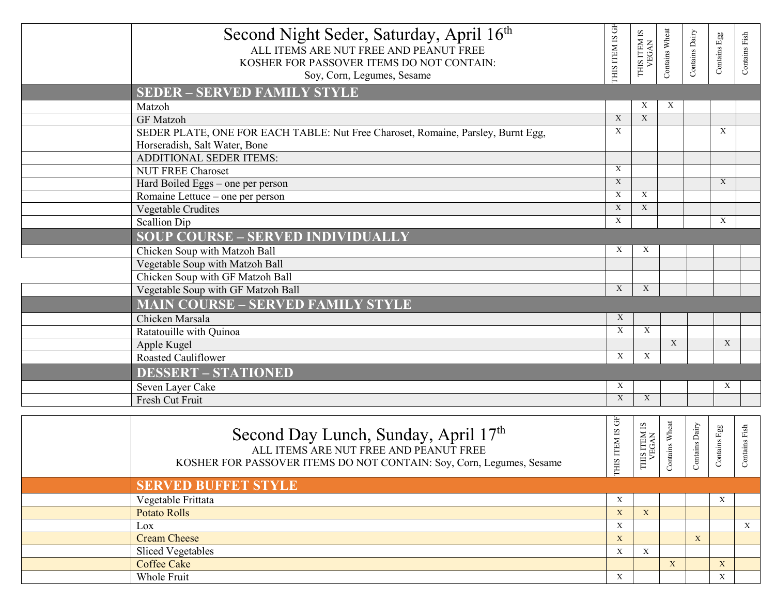| Second Night Seder, Saturday, April 16th<br>ALL ITEMS ARE NUT FREE AND PEANUT FREE<br>KOSHER FOR PASSOVER ITEMS DO NOT CONTAIN: | THIS ITEM IS GF           | THIS ITEM IS<br>VEGAN     | Contains Wheat            | Contains Dairy                  | Contains Egg | Contains Fish |
|---------------------------------------------------------------------------------------------------------------------------------|---------------------------|---------------------------|---------------------------|---------------------------------|--------------|---------------|
| Soy, Corn, Legumes, Sesame                                                                                                      |                           |                           |                           |                                 |              |               |
|                                                                                                                                 |                           |                           |                           |                                 |              |               |
| <b>SEDER - SERVED FAMILY STYLE</b>                                                                                              |                           | X                         | X                         |                                 |              |               |
| Matzoh<br><b>GF</b> Matzoh                                                                                                      | $\mathbf X$               | $\mathbf{X}$              |                           |                                 |              |               |
| SEDER PLATE, ONE FOR EACH TABLE: Nut Free Charoset, Romaine, Parsley, Burnt Egg,                                                | X                         |                           |                           |                                 | X            |               |
| Horseradish, Salt Water, Bone                                                                                                   |                           |                           |                           |                                 |              |               |
| <b>ADDITIONAL SEDER ITEMS:</b>                                                                                                  |                           |                           |                           |                                 |              |               |
| <b>NUT FREE Charoset</b>                                                                                                        | X                         |                           |                           |                                 |              |               |
| Hard Boiled Eggs - one per person                                                                                               | X                         |                           |                           |                                 | X            |               |
| Romaine Lettuce – one per person                                                                                                | X                         | X                         |                           |                                 |              |               |
| Vegetable Crudites                                                                                                              | $\mathbf X$               | X                         |                           |                                 |              |               |
| <b>Scallion Dip</b>                                                                                                             | X                         |                           |                           |                                 | X            |               |
| <b>SOUP COURSE - SERVED INDIVIDUALLY</b>                                                                                        |                           |                           |                           |                                 |              |               |
| Chicken Soup with Matzoh Ball                                                                                                   | X                         | X                         |                           |                                 |              |               |
| Vegetable Soup with Matzoh Ball                                                                                                 |                           |                           |                           |                                 |              |               |
| Chicken Soup with GF Matzoh Ball                                                                                                |                           |                           |                           |                                 |              |               |
| Vegetable Soup with GF Matzoh Ball                                                                                              | $\boldsymbol{\mathrm{X}}$ | $\boldsymbol{\mathrm{X}}$ |                           |                                 |              |               |
| <b>MAIN COURSE - SERVED FAMILY STYLE</b>                                                                                        |                           |                           |                           |                                 |              |               |
| Chicken Marsala                                                                                                                 | $\boldsymbol{\mathrm{X}}$ |                           |                           |                                 |              |               |
| Ratatouille with Quinoa                                                                                                         | $\boldsymbol{\mathrm{X}}$ | X                         |                           |                                 |              |               |
| Apple Kugel                                                                                                                     |                           |                           | $\boldsymbol{\mathrm{X}}$ |                                 | $\mathbf X$  |               |
| Roasted Cauliflower                                                                                                             | $\boldsymbol{\mathrm{X}}$ | X                         |                           |                                 |              |               |
| <b>DESSERT - STATIONED</b>                                                                                                      |                           |                           |                           |                                 |              |               |
| Seven Layer Cake                                                                                                                | $\boldsymbol{\mathrm{X}}$ |                           |                           |                                 | X            |               |
| Fresh Cut Fruit                                                                                                                 | $\mathbf{X}$              | $\mathbf{X}$              |                           |                                 |              |               |
|                                                                                                                                 |                           |                           |                           |                                 |              |               |
| Second Day Lunch, Sunday, April 17th                                                                                            | THIS ITEM IS GF           | THIS ITEM IS<br>VEGAN     | Contains Wheat            | $[1] \label{eq:1}$ ntains Dairy | ontains Egg  | ntains Fish   |
| ALL ITEMS ARE NUT FREE AND PEANUT FREE                                                                                          |                           |                           |                           |                                 |              |               |
| KOSHER FOR PASSOVER ITEMS DO NOT CONTAIN: Soy, Corn, Legumes, Sesame                                                            |                           |                           |                           | ්                               | Ŭ            | ଁ             |
| <b>SERVED BUFFET STYLE</b>                                                                                                      |                           |                           |                           |                                 |              |               |
| Vegetable Frittata                                                                                                              | $\mathbf X$               |                           |                           |                                 | X            |               |
| <b>Potato Rolls</b>                                                                                                             | $\mathbf X$               | $\mathbf{X}$              |                           |                                 |              |               |
| Lox                                                                                                                             | $\mathbf X$               |                           |                           |                                 |              | $\mathbf{X}$  |
| <b>Cream Cheese</b>                                                                                                             | $\mathbf X$               |                           |                           | X                               |              |               |
| <b>Sliced Vegetables</b>                                                                                                        | $\mathbf X$               | $\mathbf X$               |                           |                                 |              |               |
| <b>Coffee Cake</b>                                                                                                              |                           |                           | $\mathbf X$               |                                 | $\mathbf X$  |               |

Coffee Cake X X Whole Fruit  $X \cup \{X \mid X \cup \emptyset\}$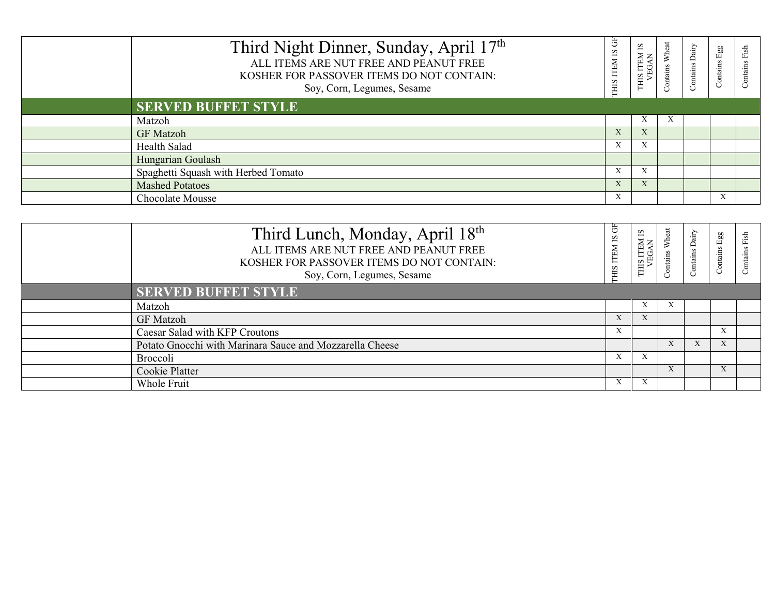| Third Night Dinner, Sunday, April 17th<br>ALL ITEMS ARE NUT FREE AND PEANUT FREE<br>KOSHER FOR PASSOVER ITEMS DO NOT CONTAIN:<br>Soy, Corn, Legumes, Sesame | 齿<br>$\overline{\mathbf{S}}$<br>ITEM.<br>THIS: | 51<br><b>NE</b><br>SIH |    | Contains Dairy | 88<br>ம<br>Contains | $\sin$<br>ontains |
|-------------------------------------------------------------------------------------------------------------------------------------------------------------|------------------------------------------------|------------------------|----|----------------|---------------------|-------------------|
| <b>SERVED BUFFET STYLE</b>                                                                                                                                  |                                                |                        |    |                |                     |                   |
| Matzoh                                                                                                                                                      |                                                | X                      | A. |                |                     |                   |
| <b>GF</b> Matzoh                                                                                                                                            | X                                              |                        |    |                |                     |                   |
| Health Salad                                                                                                                                                | X                                              |                        |    |                |                     |                   |
| Hungarian Goulash                                                                                                                                           |                                                |                        |    |                |                     |                   |
| Spaghetti Squash with Herbed Tomato                                                                                                                         | X                                              | $\Lambda$              |    |                |                     |                   |
| <b>Mashed Potatoes</b>                                                                                                                                      | X                                              | $\Lambda$              |    |                |                     |                   |
| Chocolate Mousse                                                                                                                                            | X                                              |                        |    |                | $\Lambda$           |                   |

| Third Lunch, Monday, April 18th<br>ALL ITEMS ARE NUT FREE AND PEANUT FREE<br>KOSHER FOR PASSOVER ITEMS DO NOT CONTAIN:<br>Soy, Corn, Legumes, Sesame | 뚱<br>51<br>HIS ITEM | 2<br>ITEM<br>SGAN<br><b>CHIS</b> | ntains | Dairy<br>ontains | Egg<br>Contains | fsi |
|------------------------------------------------------------------------------------------------------------------------------------------------------|---------------------|----------------------------------|--------|------------------|-----------------|-----|
| <b>SERVED BUFFET STYLE</b>                                                                                                                           |                     |                                  |        |                  |                 |     |
| Matzoh                                                                                                                                               |                     |                                  |        |                  |                 |     |
| <b>GF</b> Matzoh                                                                                                                                     | X                   | $\Lambda$                        |        |                  |                 |     |
| Caesar Salad with KFP Croutons                                                                                                                       | $\lambda$           |                                  |        |                  |                 |     |
| Potato Gnocchi with Marinara Sauce and Mozzarella Cheese                                                                                             |                     |                                  |        | X                | $\Lambda$       |     |
| Broccoli                                                                                                                                             | X                   | A                                |        |                  |                 |     |
| Cookie Platter                                                                                                                                       |                     |                                  |        |                  |                 |     |
| Whole Fruit                                                                                                                                          | $\Lambda$           |                                  |        |                  |                 |     |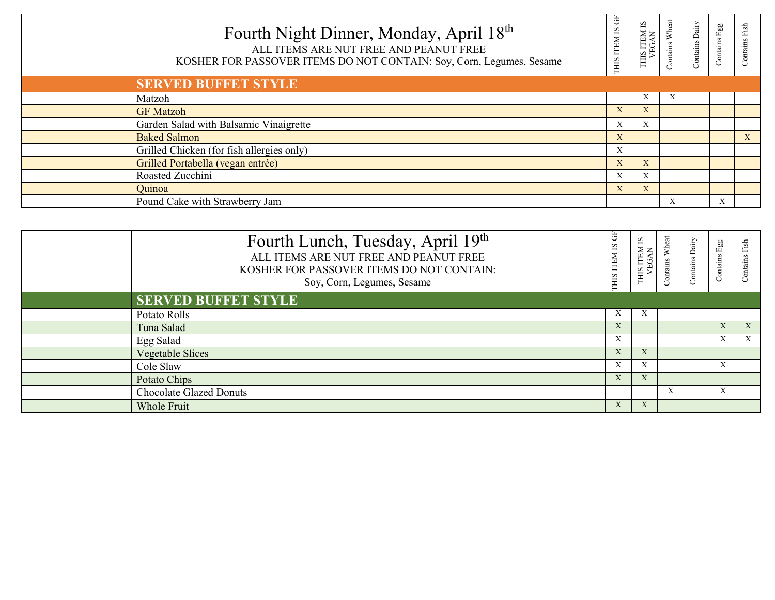| Fourth Night Dinner, Monday, April 18th<br>ALL ITEMS ARE NUT FREE AND PEANUT FREE<br>KOSHER FOR PASSOVER ITEMS DO NOT CONTAIN: Soy, Corn, Legumes, Sesame | GF<br><b>THIS ITEM IS</b> | THIS ITEM IS<br>VEGAN | Wheat<br><b>Contains</b> | Contains Dairy | ${\rm Egg}$<br>Contains | Contains Fish |
|-----------------------------------------------------------------------------------------------------------------------------------------------------------|---------------------------|-----------------------|--------------------------|----------------|-------------------------|---------------|
| <b>SERVED BUFFET STYLE</b>                                                                                                                                |                           |                       |                          |                |                         |               |
| Matzoh                                                                                                                                                    |                           | X                     | A                        |                |                         |               |
| <b>GF Matzoh</b>                                                                                                                                          | A                         | X                     |                          |                |                         |               |
| Garden Salad with Balsamic Vinaigrette                                                                                                                    | X                         | X                     |                          |                |                         |               |
| <b>Baked Salmon</b>                                                                                                                                       | X                         |                       |                          |                |                         | X             |
| Grilled Chicken (for fish allergies only)                                                                                                                 | X                         |                       |                          |                |                         |               |
| Grilled Portabella (vegan entrée)                                                                                                                         | X                         | X                     |                          |                |                         |               |
| Roasted Zucchini                                                                                                                                          | X                         | X                     |                          |                |                         |               |
| Quinoa                                                                                                                                                    | X                         | X                     |                          |                |                         |               |
| Pound Cake with Strawberry Jam                                                                                                                            |                           |                       | X                        |                | $\mathbf{v}$            |               |

| Fourth Lunch, Tuesday, April 19th<br>ALL ITEMS ARE NUT FREE AND PEANUT FREE<br>KOSHER FOR PASSOVER ITEMS DO NOT CONTAIN:<br>Soy, Corn, Legumes, Sesame | Ğ<br><b>THIS ITEM IS</b> | 51<br>ITEM<br>SGAN<br><b>CIHL</b> | ontains | Contains Dairy | Egg<br>Contains           | Fish<br>Contains          |
|--------------------------------------------------------------------------------------------------------------------------------------------------------|--------------------------|-----------------------------------|---------|----------------|---------------------------|---------------------------|
| <b>SERVED BUFFET STYLE</b>                                                                                                                             |                          |                                   |         |                |                           |                           |
| Potato Rolls                                                                                                                                           | X                        | $\Lambda$                         |         |                |                           |                           |
| Tuna Salad                                                                                                                                             | X                        |                                   |         |                | X                         | X                         |
| Egg Salad                                                                                                                                              | X                        |                                   |         |                | $\mathbf{v}$<br>$\Lambda$ | $\boldsymbol{\mathrm{X}}$ |
| <b>Vegetable Slices</b>                                                                                                                                | X                        | $\Lambda$                         |         |                |                           |                           |
| Cole Slaw                                                                                                                                              | X                        | $\Lambda$                         |         |                | $\Lambda$                 |                           |
| Potato Chips                                                                                                                                           | X                        | $\Lambda$                         |         |                |                           |                           |
| <b>Chocolate Glazed Donuts</b>                                                                                                                         |                          |                                   | X       |                | $\Lambda$                 |                           |
| <b>Whole Fruit</b>                                                                                                                                     | X                        | $\lambda$                         |         |                |                           |                           |
|                                                                                                                                                        |                          |                                   |         |                |                           |                           |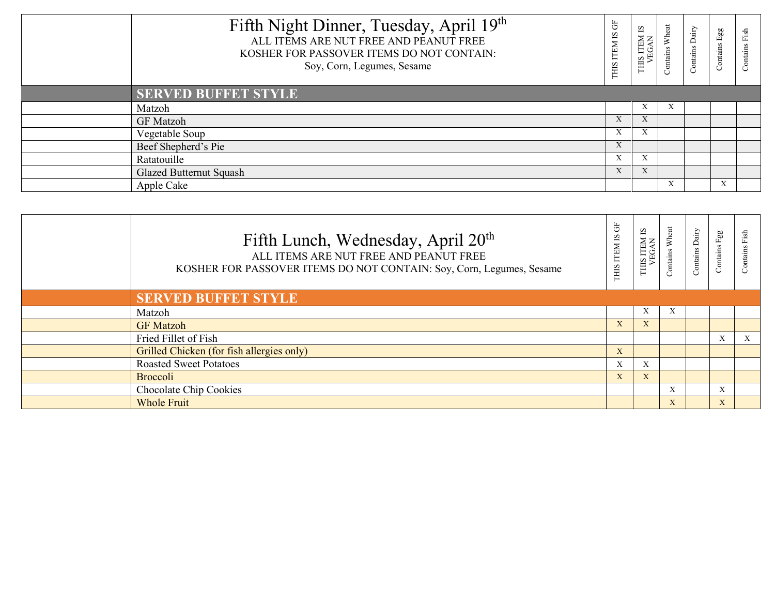| Fifth Night Dinner, Tuesday, April 19th<br>ALL ITEMS ARE NUT FREE AND PEANUT FREE<br>KOSHER FOR PASSOVER ITEMS DO NOT CONTAIN:<br>Soy, Corn, Legumes, Sesame | F<br>SI<br>THIS ITEM | 2<br>S ITEM<br>/EGAN<br><b>CHIL</b> | eat<br>ntains | Dairy<br>Contains | Egg<br>Contains | 긤<br>ntain |
|--------------------------------------------------------------------------------------------------------------------------------------------------------------|----------------------|-------------------------------------|---------------|-------------------|-----------------|------------|
| <b>SERVED BUFFET STYLE</b>                                                                                                                                   |                      |                                     |               |                   |                 |            |
| Matzoh                                                                                                                                                       |                      |                                     |               |                   |                 |            |
| <b>GF</b> Matzoh                                                                                                                                             | X                    | $\Lambda$                           |               |                   |                 |            |
| Vegetable Soup                                                                                                                                               | $\mathbf{v}$<br>A    |                                     |               |                   |                 |            |
| Beef Shepherd's Pie                                                                                                                                          | $\mathbf{A}$         |                                     |               |                   |                 |            |
| Ratatouille                                                                                                                                                  | X                    | A                                   |               |                   |                 |            |
| <b>Glazed Butternut Squash</b>                                                                                                                               | X                    | $\Lambda$                           |               |                   |                 |            |
| Apple Cake                                                                                                                                                   |                      |                                     | $\Lambda$     |                   |                 |            |

| Fifth Lunch, Wednesday, April 20 <sup>th</sup><br>ALL ITEMS ARE NUT FREE AND PEANUT FREE<br>KOSHER FOR PASSOVER ITEMS DO NOT CONTAIN: Soy, Corn, Legumes, Sesame | 5<br>THIS ITEM IS | 5<br>IS ITEM<br>VEGAN<br><b>CIHIT</b> | Wheat<br>Contains | Contains Dairy | Egg<br>Contains 1 | Fish<br>ontains |
|------------------------------------------------------------------------------------------------------------------------------------------------------------------|-------------------|---------------------------------------|-------------------|----------------|-------------------|-----------------|
| <b>SERVED BUFFET STYLE</b>                                                                                                                                       |                   |                                       |                   |                |                   |                 |
| Matzoh                                                                                                                                                           |                   | $\Lambda$                             | $\mathbf{x}$      |                |                   |                 |
| <b>GF</b> Matzoh                                                                                                                                                 | X                 | X                                     |                   |                |                   |                 |
| Fried Fillet of Fish                                                                                                                                             |                   |                                       |                   |                | X                 | X               |
| Grilled Chicken (for fish allergies only)                                                                                                                        | X                 |                                       |                   |                |                   |                 |
| <b>Roasted Sweet Potatoes</b>                                                                                                                                    | X                 | $\mathbf{x}$                          |                   |                |                   |                 |
| Broccoli                                                                                                                                                         | X                 | X                                     |                   |                |                   |                 |
| Chocolate Chip Cookies                                                                                                                                           |                   |                                       | X                 |                | X                 |                 |
| <b>Whole Fruit</b>                                                                                                                                               |                   |                                       | $\mathbf{X}$      |                | $\mathbf{X}$      |                 |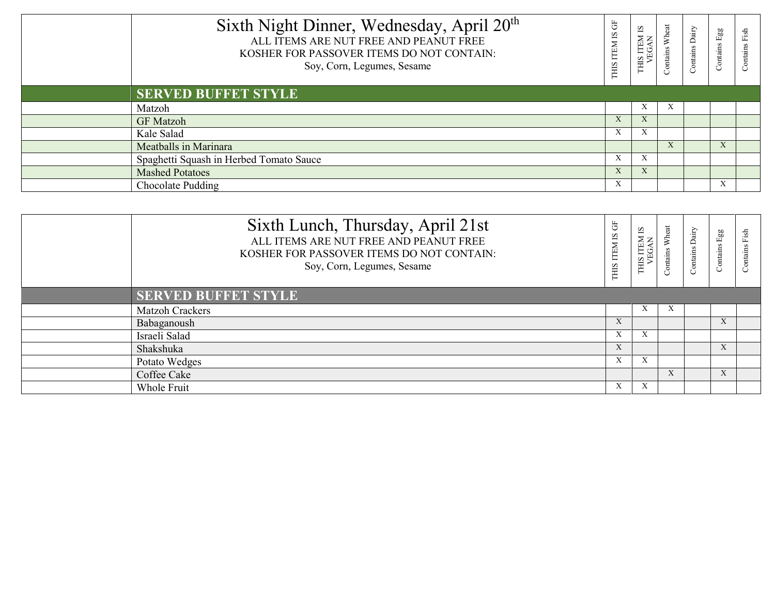| Sixth Night Dinner, Wednesday, April 20 <sup>th</sup><br>ALL ITEMS ARE NUT FREE AND PEANUT FREE<br>KOSHER FOR PASSOVER ITEMS DO NOT CONTAIN:<br>Soy, Corn, Legumes, Sesame | Ğ<br>$\overline{\mathbf{S}}$<br>THIS ITEM | 51<br>THIS ITEM<br>VEGAN             | Wheat | Contains Dairy | Egg<br>Contains | 문 |
|----------------------------------------------------------------------------------------------------------------------------------------------------------------------------|-------------------------------------------|--------------------------------------|-------|----------------|-----------------|---|
| <b>SERVED BUFFET STYLE</b>                                                                                                                                                 |                                           |                                      |       |                |                 |   |
| Matzoh                                                                                                                                                                     |                                           | $\mathbf{v}$<br>$\Lambda$            |       |                |                 |   |
| <b>GF</b> Matzoh                                                                                                                                                           | X                                         | $\overline{\mathbf{v}}$<br>$\Lambda$ |       |                |                 |   |
| Kale Salad                                                                                                                                                                 | X                                         | $\Lambda$                            |       |                |                 |   |
| Meatballs in Marinara                                                                                                                                                      |                                           |                                      |       |                | $\Lambda$       |   |
| Spaghetti Squash in Herbed Tomato Sauce                                                                                                                                    | $\mathbf{x}$<br>X.                        | $\mathbf{v}$<br>$\Lambda$            |       |                |                 |   |
| <b>Mashed Potatoes</b>                                                                                                                                                     | X                                         | $\mathbf{x}$<br>$\Lambda$            |       |                |                 |   |
| Chocolate Pudding                                                                                                                                                          | X                                         |                                      |       |                |                 |   |

| Sixth Lunch, Thursday, April 21st<br>ALL ITEMS ARE NUT FREE AND PEANUT FREE<br>KOSHER FOR PASSOVER ITEMS DO NOT CONTAIN:<br>Soy, Corn, Legumes, Sesame | $\overleftarrow{G}$<br>$\overline{S}$<br><b>ITEM</b><br>THIS: | 51<br>S ITEM<br>/EGAN<br><b>EHIT</b> | Wheat<br>ontains | <b>Alig</b><br>ontains | Egg<br>Contains | $\frac{1}{2}$<br>Contains |
|--------------------------------------------------------------------------------------------------------------------------------------------------------|---------------------------------------------------------------|--------------------------------------|------------------|------------------------|-----------------|---------------------------|
| <b>SERVED BUFFET STYLE</b>                                                                                                                             |                                                               |                                      |                  |                        |                 |                           |
| <b>Matzoh Crackers</b>                                                                                                                                 |                                                               | A                                    |                  |                        |                 |                           |
| Babaganoush                                                                                                                                            | X                                                             |                                      |                  |                        | $\mathbf{X}$    |                           |
| Israeli Salad                                                                                                                                          | X                                                             | A                                    |                  |                        |                 |                           |
| Shakshuka                                                                                                                                              | X                                                             |                                      |                  |                        |                 |                           |
| Potato Wedges                                                                                                                                          | X                                                             | $\mathbf{v}$<br>$\Lambda$            |                  |                        |                 |                           |
| Coffee Cake                                                                                                                                            |                                                               |                                      | $\lambda$        |                        | $\mathbf{X}$    |                           |
| Whole Fruit                                                                                                                                            | X                                                             | $\Lambda$                            |                  |                        |                 |                           |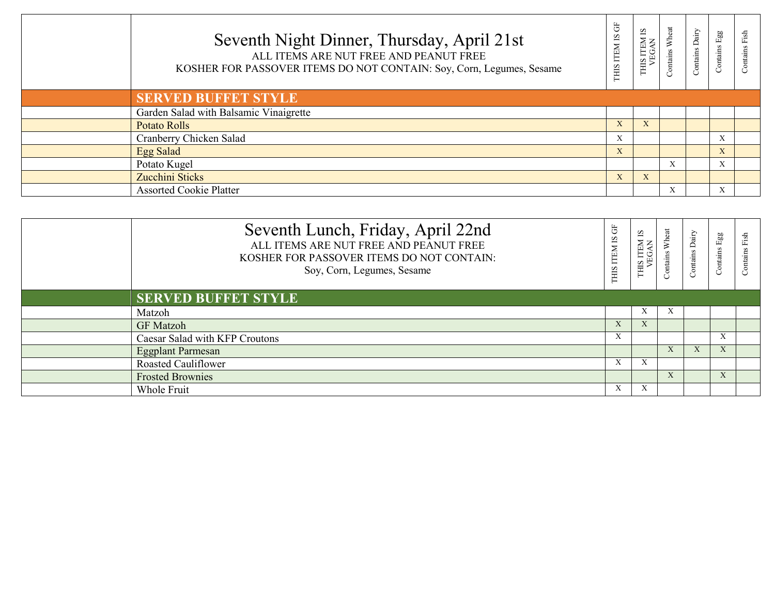| Seventh Night Dinner, Thursday, April 21st<br>ALL ITEMS ARE NUT FREE AND PEANUT FREE<br>KOSHER FOR PASSOVER ITEMS DO NOT CONTAIN: Soy, Corn, Legumes, Sesame | Ğ<br>$\overline{S}$<br>THIS ITEM | 51<br>THIS ITEN<br>VEGAI | eat<br>Contains | Contains Dairy | Egg<br>Contains 1 | $\frac{1}{2}$ |
|--------------------------------------------------------------------------------------------------------------------------------------------------------------|----------------------------------|--------------------------|-----------------|----------------|-------------------|---------------|
| <b>SERVED BUFFET STYLE</b>                                                                                                                                   |                                  |                          |                 |                |                   |               |
| Garden Salad with Balsamic Vinaigrette                                                                                                                       |                                  |                          |                 |                |                   |               |
| <b>Potato Rolls</b>                                                                                                                                          | X                                |                          |                 |                |                   |               |
| Cranberry Chicken Salad                                                                                                                                      | X                                |                          |                 |                |                   |               |
| Egg Salad                                                                                                                                                    | X                                |                          |                 |                | X                 |               |
| Potato Kugel                                                                                                                                                 |                                  |                          | X               |                | X                 |               |
| Zucchini Sticks                                                                                                                                              | X                                | $\mathbf{X}$             |                 |                |                   |               |
| <b>Assorted Cookie Platter</b>                                                                                                                               |                                  |                          | X               |                |                   |               |

| Seventh Lunch, Friday, April 22nd<br>ALL ITEMS ARE NUT FREE AND PEANUT FREE<br>KOSHER FOR PASSOVER ITEMS DO NOT CONTAIN:<br>Soy, Corn, Legumes, Sesame | Ğ<br>$\overline{\text{S}}$<br>THIS ITEM | Ω<br>IS ITEM<br>VEGAN<br><b>SIHL</b> | ā<br><b>Contains</b> | Dairy<br>Contains | Egg<br>Contains | Fish<br>Contains |
|--------------------------------------------------------------------------------------------------------------------------------------------------------|-----------------------------------------|--------------------------------------|----------------------|-------------------|-----------------|------------------|
| <b>SERVED BUFFET STYLE</b>                                                                                                                             |                                         |                                      |                      |                   |                 |                  |
| Matzoh                                                                                                                                                 |                                         | $\lambda$                            |                      |                   |                 |                  |
| <b>GF</b> Matzoh                                                                                                                                       | X                                       | $\Lambda$                            |                      |                   |                 |                  |
| Caesar Salad with KFP Croutons                                                                                                                         | $\mathbf{v}$<br>A                       |                                      |                      |                   | $\mathbf{A}$    |                  |
| <b>Eggplant Parmesan</b>                                                                                                                               |                                         |                                      |                      | $\mathbf{X}$      |                 |                  |
| <b>Roasted Cauliflower</b>                                                                                                                             | X                                       | $\lambda$                            |                      |                   |                 |                  |
| <b>Frosted Brownies</b>                                                                                                                                |                                         |                                      |                      |                   | X               |                  |
| Whole Fruit                                                                                                                                            | A                                       |                                      |                      |                   |                 |                  |